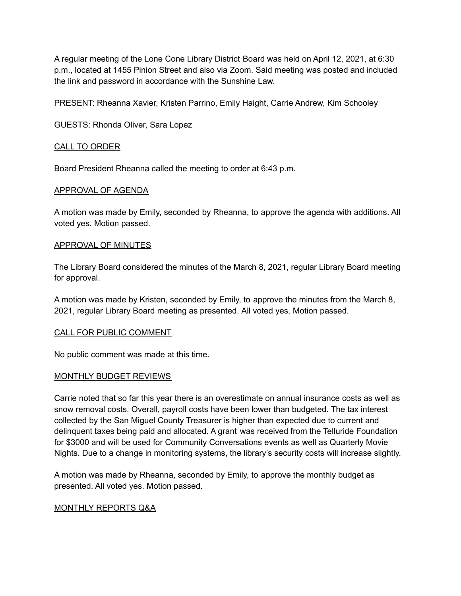A regular meeting of the Lone Cone Library District Board was held on April 12, 2021, at 6:30 p.m., located at 1455 Pinion Street and also via Zoom. Said meeting was posted and included the link and password in accordance with the Sunshine Law.

PRESENT: Rheanna Xavier, Kristen Parrino, Emily Haight, Carrie Andrew, Kim Schooley

GUESTS: Rhonda Oliver, Sara Lopez

### CALL TO ORDER

Board President Rheanna called the meeting to order at 6:43 p.m.

### APPROVAL OF AGENDA

A motion was made by Emily, seconded by Rheanna, to approve the agenda with additions. All voted yes. Motion passed.

### APPROVAL OF MINUTES

The Library Board considered the minutes of the March 8, 2021, regular Library Board meeting for approval.

A motion was made by Kristen, seconded by Emily, to approve the minutes from the March 8, 2021, regular Library Board meeting as presented. All voted yes. Motion passed.

### CALL FOR PUBLIC COMMENT

No public comment was made at this time.

### MONTHLY BUDGET REVIEWS

Carrie noted that so far this year there is an overestimate on annual insurance costs as well as snow removal costs. Overall, payroll costs have been lower than budgeted. The tax interest collected by the San Miguel County Treasurer is higher than expected due to current and delinquent taxes being paid and allocated. A grant was received from the Telluride Foundation for \$3000 and will be used for Community Conversations events as well as Quarterly Movie Nights. Due to a change in monitoring systems, the library's security costs will increase slightly.

A motion was made by Rheanna, seconded by Emily, to approve the monthly budget as presented. All voted yes. Motion passed.

### MONTHLY REPORTS Q&A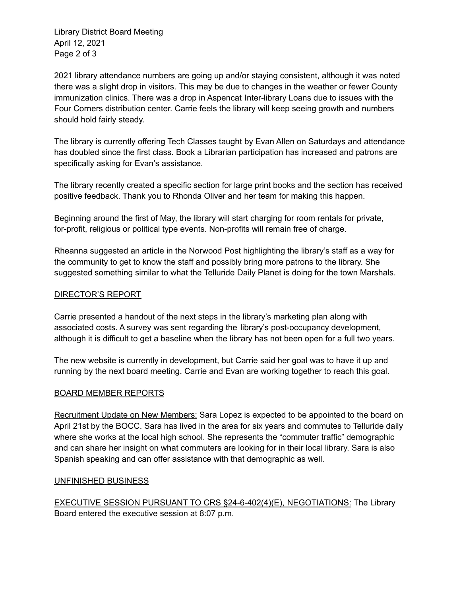Library District Board Meeting April 12, 2021 Page 2 of 3

2021 library attendance numbers are going up and/or staying consistent, although it was noted there was a slight drop in visitors. This may be due to changes in the weather or fewer County immunization clinics. There was a drop in Aspencat Inter-library Loans due to issues with the Four Corners distribution center. Carrie feels the library will keep seeing growth and numbers should hold fairly steady.

The library is currently offering Tech Classes taught by Evan Allen on Saturdays and attendance has doubled since the first class. Book a Librarian participation has increased and patrons are specifically asking for Evan's assistance.

The library recently created a specific section for large print books and the section has received positive feedback. Thank you to Rhonda Oliver and her team for making this happen.

Beginning around the first of May, the library will start charging for room rentals for private, for-profit, religious or political type events. Non-profits will remain free of charge.

Rheanna suggested an article in the Norwood Post highlighting the library's staff as a way for the community to get to know the staff and possibly bring more patrons to the library. She suggested something similar to what the Telluride Daily Planet is doing for the town Marshals.

# DIRECTOR'S REPORT

Carrie presented a handout of the next steps in the library's marketing plan along with associated costs. A survey was sent regarding the library's post-occupancy development, although it is difficult to get a baseline when the library has not been open for a full two years.

The new website is currently in development, but Carrie said her goal was to have it up and running by the next board meeting. Carrie and Evan are working together to reach this goal.

# BOARD MEMBER REPORTS

Recruitment Update on New Members: Sara Lopez is expected to be appointed to the board on April 21st by the BOCC. Sara has lived in the area for six years and commutes to Telluride daily where she works at the local high school. She represents the "commuter traffic" demographic and can share her insight on what commuters are looking for in their local library. Sara is also Spanish speaking and can offer assistance with that demographic as well.

### UNFINISHED BUSINESS

EXECUTIVE SESSION PURSUANT TO CRS §24-6-402(4)(E), NEGOTIATIONS: The Library Board entered the executive session at 8:07 p.m.